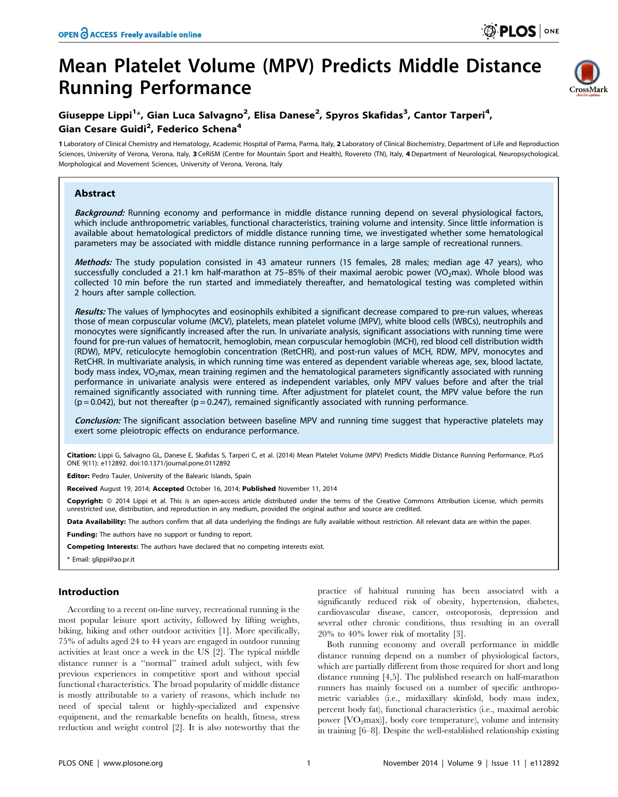# Mean Platelet Volume (MPV) Predicts Middle Distance Running Performance



## Giuseppe Lippi<sup>1\*</sup>, Gian Luca Salvagno<sup>2</sup>, Elisa Danese<sup>2</sup>, Spyros Skafidas<sup>3</sup>, Cantor Tarperi<sup>4</sup>, Gian Cesare Guidi<sup>2</sup>, Federico Schena<sup>4</sup>

1 Laboratory of Clinical Chemistry and Hematology, Academic Hospital of Parma, Parma, Italy, 2 Laboratory of Clinical Biochemistry, Department of Life and Reproduction Sciences, University of Verona, Verona, Italy, 3 CeRiSM (Centre for Mountain Sport and Health), Rovereto (TN), Italy, 4 Department of Neurological, Neuropsychological, Morphological and Movement Sciences, University of Verona, Verona, Italy

### Abstract

Background: Running economy and performance in middle distance running depend on several physiological factors, which include anthropometric variables, functional characteristics, training volume and intensity. Since little information is available about hematological predictors of middle distance running time, we investigated whether some hematological parameters may be associated with middle distance running performance in a large sample of recreational runners.

Methods: The study population consisted in 43 amateur runners (15 females, 28 males; median age 47 years), who successfully concluded a 21.1 km half-marathon at 75–85% of their maximal aerobic power (VO<sub>2</sub>max). Whole blood was collected 10 min before the run started and immediately thereafter, and hematological testing was completed within 2 hours after sample collection.

Results: The values of lymphocytes and eosinophils exhibited a significant decrease compared to pre-run values, whereas those of mean corpuscular volume (MCV), platelets, mean platelet volume (MPV), white blood cells (WBCs), neutrophils and monocytes were significantly increased after the run. In univariate analysis, significant associations with running time were found for pre-run values of hematocrit, hemoglobin, mean corpuscular hemoglobin (MCH), red blood cell distribution width (RDW), MPV, reticulocyte hemoglobin concentration (RetCHR), and post-run values of MCH, RDW, MPV, monocytes and RetCHR. In multivariate analysis, in which running time was entered as dependent variable whereas age, sex, blood lactate, body mass index, VO<sub>2</sub>max, mean training regimen and the hematological parameters significantly associated with running performance in univariate analysis were entered as independent variables, only MPV values before and after the trial remained significantly associated with running time. After adjustment for platelet count, the MPV value before the run  $(p = 0.042)$ , but not thereafter  $(p = 0.247)$ , remained significantly associated with running performance.

Conclusion: The significant association between baseline MPV and running time suggest that hyperactive platelets may exert some pleiotropic effects on endurance performance.

Citation: Lippi G, Salvagno GL, Danese E, Skafidas S, Tarperi C, et al. (2014) Mean Platelet Volume (MPV) Predicts Middle Distance Running Performance. PLoS ONE 9(11): e112892. doi:10.1371/journal.pone.0112892

Editor: Pedro Tauler, University of the Balearic Islands, Spain

Received August 19, 2014; Accepted October 16, 2014; Published November 11, 2014

Copyright: © 2014 Lippi et al. This is an open-access article distributed under the terms of the [Creative Commons Attribution License,](http://creativecommons.org/licenses/by/4.0/) which permits unrestricted use, distribution, and reproduction in any medium, provided the original author and source are credited.

Data Availability: The authors confirm that all data underlying the findings are fully available without restriction. All relevant data are within the paper.

Funding: The authors have no support or funding to report.

Competing Interests: The authors have declared that no competing interests exist.

\* Email: glippi@ao.pr.it

#### Introduction

According to a recent on-line survey, recreational running is the most popular leisure sport activity, followed by lifting weights, biking, hiking and other outdoor activities [1]. More specifically, 75% of adults aged 24 to 44 years are engaged in outdoor running activities at least once a week in the US [2]. The typical middle distance runner is a ''normal'' trained adult subject, with few previous experiences in competitive sport and without special functional characteristics. The broad popularity of middle distance is mostly attributable to a variety of reasons, which include no need of special talent or highly-specialized and expensive equipment, and the remarkable benefits on health, fitness, stress reduction and weight control [2]. It is also noteworthy that the

practice of habitual running has been associated with a significantly reduced risk of obesity, hypertension, diabetes, cardiovascular disease, cancer, osteoporosis, depression and several other chronic conditions, thus resulting in an overall 20% to 40% lower risk of mortality [3].

Both running economy and overall performance in middle distance running depend on a number of physiological factors, which are partially different from those required for short and long distance running [4,5]. The published research on half-marathon runners has mainly focused on a number of specific anthropometric variables (i.e., midaxillary skinfold, body mass index, percent body fat), functional characteristics (i.e., maximal aerobic power  $[VO<sub>2</sub>max]$ , body core temperature), volume and intensity in training [6–8]. Despite the well-established relationship existing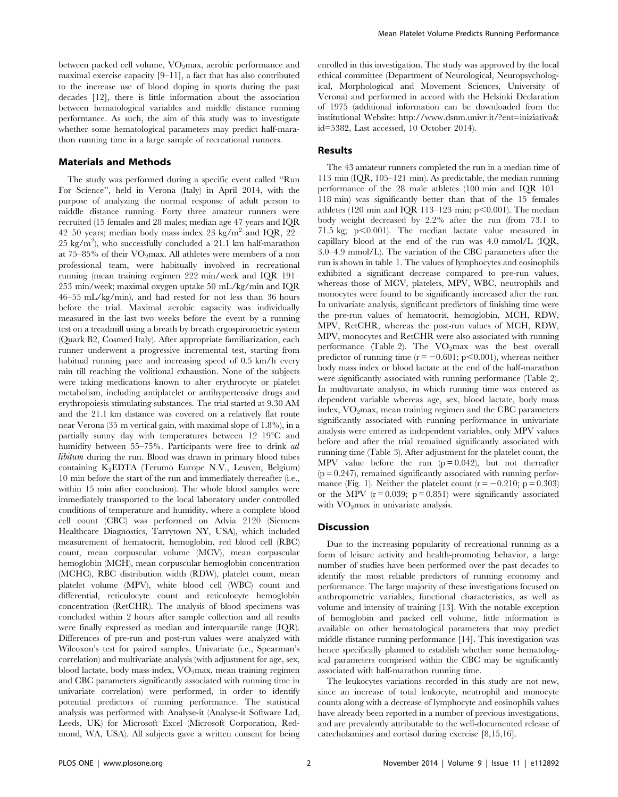between packed cell volume, VO<sub>2</sub>max, aerobic performance and maximal exercise capacity [9–11], a fact that has also contributed to the increase use of blood doping in sports during the past decades [12], there is little information about the association between hematological variables and middle distance running performance. As such, the aim of this study was to investigate whether some hematological parameters may predict half-marathon running time in a large sample of recreational runners.

#### Materials and Methods

The study was performed during a specific event called ''Run For Science'', held in Verona (Italy) in April 2014, with the purpose of analyzing the normal response of adult person to middle distance running. Forty three amateur runners were recruited (15 females and 28 males; median age 47 years and IQR 42–50 years; median body mass index 23 kg/m<sup>2</sup> and IQR, 22–  $25 \text{ kg/m}^2$ ), who successfully concluded a  $21.1 \text{ km}$  half-marathon at  $75-85\%$  of their  $VO_2$ max. All athletes were members of a non professional team, were habitually involved in recreational running (mean training regimen 222 min/week and IQR 191– 253 min/week; maximal oxygen uptake 50 mL/kg/min and IQR 46–55 mL/kg/min), and had rested for not less than 36 hours before the trial. Maximal aerobic capacity was individually measured in the last two weeks before the event by a running test on a treadmill using a breath by breath ergospirometric system (Quark B2, Cosmed Italy). After appropriate familiarization, each runner underwent a progressive incremental test, starting from habitual running pace and increasing speed of 0.5 km/h every min till reaching the volitional exhaustion. None of the subjects were taking medications known to alter erythrocyte or platelet metabolism, including antiplatelet or antihypertensive drugs and erythropoiesis stimulating substances. The trial started at 9.30 AM and the 21.1 km distance was covered on a relatively flat route near Verona (35 m vertical gain, with maximal slope of 1.8%), in a partially sunny day with temperatures between  $12-19^{\circ}$ C and humidity between 55–75%. Participants were free to drink ad libitum during the run. Blood was drawn in primary blood tubes containing  $K_2EDTA$  (Terumo Europe N.V., Leuven, Belgium) 10 min before the start of the run and immediately thereafter (i.e., within 15 min after conclusion). The whole blood samples were immediately transported to the local laboratory under controlled conditions of temperature and humidity, where a complete blood cell count (CBC) was performed on Advia 2120 (Siemens Healthcare Diagnostics, Tarrytown NY, USA), which included measurement of hematocrit, hemoglobin, red blood cell (RBC) count, mean corpuscular volume (MCV), mean corpuscular hemoglobin (MCH), mean corpuscular hemoglobin concentration (MCHC), RBC distribution width (RDW), platelet count, mean platelet volume (MPV), white blood cell (WBC) count and differential, reticulocyte count and reticulocyte hemoglobin concentration (RetCHR). The analysis of blood specimens was concluded within 2 hours after sample collection and all results were finally expressed as median and interquartile range (IQR). Differences of pre-run and post-run values were analyzed with Wilcoxon's test for paired samples. Univariate (i.e., Spearman's correlation) and multivariate analysis (with adjustment for age, sex, blood lactate, body mass index, VO2max, mean training regimen and CBC parameters significantly associated with running time in univariate correlation) were performed, in order to identify potential predictors of running performance. The statistical analysis was performed with Analyse-it (Analyse-it Software Ltd, Leeds, UK) for Microsoft Excel (Microsoft Corporation, Redmond, WA, USA). All subjects gave a written consent for being enrolled in this investigation. The study was approved by the local ethical committee (Department of Neurological, Neuropsychological, Morphological and Movement Sciences, University of Verona) and performed in accord with the Helsinki Declaration of 1975 (additional information can be downloaded from the institutional Website: [http://www.dsnm.univr.it/?ent=iniziativa&](http://www.dsnm.univr.it/?ent=iniziativa&id=5382) [id=5382,](http://www.dsnm.univr.it/?ent=iniziativa&id=5382) Last accessed, 10 October 2014).

#### Results

The 43 amateur runners completed the run in a median time of 113 min (IQR, 105–121 min). As predictable, the median running performance of the 28 male athletes (100 min and IQR 101– 118 min) was significantly better than that of the 15 females athletes (120 min and IQR 113–123 min;  $p<0.001$ ). The median body weight decreased by 2.2% after the run (from 73.1 to 71.5 kg;  $p<0.001$ ). The median lactate value measured in capillary blood at the end of the run was 4.0 mmol/L (IQR, 3.0–4.9 mmol/L). The variation of the CBC parameters after the run is shown in table 1. The values of lymphocytes and eosinophils exhibited a significant decrease compared to pre-run values, whereas those of MCV, platelets, MPV, WBC, neutrophils and monocytes were found to be significantly increased after the run. In univariate analysis, significant predictors of finishing time were the pre-run values of hematocrit, hemoglobin, MCH, RDW, MPV, RetCHR, whereas the post-run values of MCH, RDW, MPV, monocytes and RetCHR were also associated with running performance (Table 2). The  $VO<sub>2</sub>max$  was the best overall predictor of running time  $(r = -0.601; p<0.001)$ , whereas neither body mass index or blood lactate at the end of the half-marathon were significantly associated with running performance (Table 2). In multivariate analysis, in which running time was entered as dependent variable whereas age, sex, blood lactate, body mass index,  $VO<sub>2</sub>max$ , mean training regimen and the CBC parameters significantly associated with running performance in univariate analysis were entered as independent variables, only MPV values before and after the trial remained significantly associated with running time (Table 3). After adjustment for the platelet count, the MPV value before the run  $(p=0.042)$ , but not thereafter  $(p = 0.247)$ , remained significantly associated with running performance (Fig. 1). Neither the platelet count ( $r = -0.210$ ; p = 0.303) or the MPV  $(r = 0.039; p = 0.851)$  were significantly associated with VO<sub>2</sub>max in univariate analysis.

#### Discussion

Due to the increasing popularity of recreational running as a form of leisure activity and health-promoting behavior, a large number of studies have been performed over the past decades to identify the most reliable predictors of running economy and performance. The large majority of these investigations focused on anthropometric variables, functional characteristics, as well as volume and intensity of training [13]. With the notable exception of hemoglobin and packed cell volume, little information is available on other hematological parameters that may predict middle distance running performance [14]. This investigation was hence specifically planned to establish whether some hematological parameters comprised within the CBC may be significantly associated with half-marathon running time.

The leukocytes variations recorded in this study are not new, since an increase of total leukocyte, neutrophil and monocyte counts along with a decrease of lymphocyte and eosinophils values have already been reported in a number of previous investigations, and are prevalently attributable to the well-documented release of catecholamines and cortisol during exercise [8,15,16].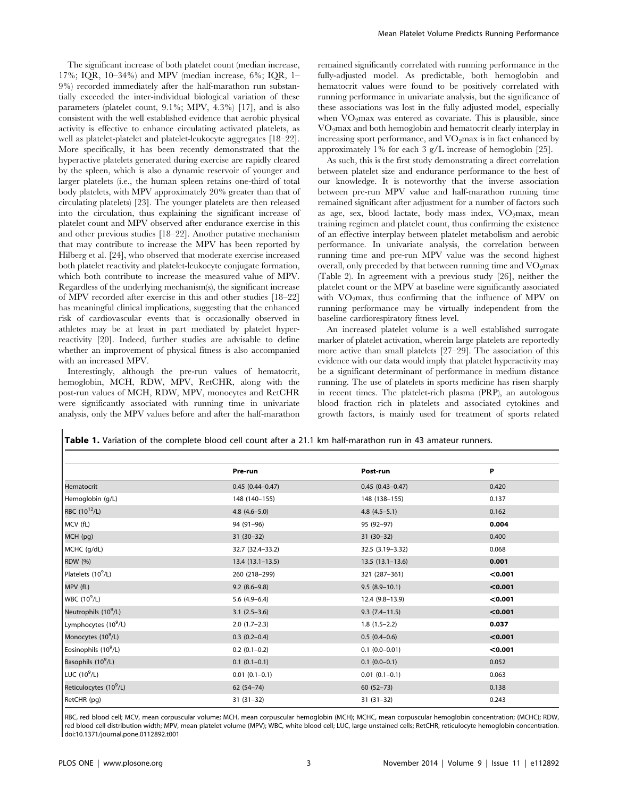The significant increase of both platelet count (median increase, 17%; IQR, 10–34%) and MPV (median increase, 6%; IQR, 1– 9%) recorded immediately after the half-marathon run substantially exceeded the inter-individual biological variation of these parameters (platelet count, 9.1%; MPV, 4.3%) [17], and is also consistent with the well established evidence that aerobic physical activity is effective to enhance circulating activated platelets, as well as platelet-platelet and platelet-leukocyte aggregates [18–22]. More specifically, it has been recently demonstrated that the hyperactive platelets generated during exercise are rapidly cleared by the spleen, which is also a dynamic reservoir of younger and larger platelets (i.e., the human spleen retains one-third of total body platelets, with MPV approximately 20% greater than that of circulating platelets) [23]. The younger platelets are then released into the circulation, thus explaining the significant increase of platelet count and MPV observed after endurance exercise in this and other previous studies [18–22]. Another putative mechanism that may contribute to increase the MPV has been reported by Hilberg et al. [24], who observed that moderate exercise increased both platelet reactivity and platelet-leukocyte conjugate formation, which both contribute to increase the measured value of MPV. Regardless of the underlying mechanism(s), the significant increase of MPV recorded after exercise in this and other studies [18–22] has meaningful clinical implications, suggesting that the enhanced risk of cardiovascular events that is occasionally observed in athletes may be at least in part mediated by platelet hyperreactivity [20]. Indeed, further studies are advisable to define whether an improvement of physical fitness is also accompanied with an increased MPV.

Interestingly, although the pre-run values of hematocrit, hemoglobin, MCH, RDW, MPV, RetCHR, along with the post-run values of MCH, RDW, MPV, monocytes and RetCHR were significantly associated with running time in univariate analysis, only the MPV values before and after the half-marathon remained significantly correlated with running performance in the fully-adjusted model. As predictable, both hemoglobin and hematocrit values were found to be positively correlated with running performance in univariate analysis, but the significance of these associations was lost in the fully adjusted model, especially when  $VO<sub>2</sub>max$  was entered as covariate. This is plausible, since  $VO<sub>2</sub>max$  and both hemoglobin and hematocrit clearly interplay in increasing sport performance, and  $VO<sub>2</sub>$ max is in fact enhanced by approximately 1% for each 3 g/L increase of hemoglobin [25].

As such, this is the first study demonstrating a direct correlation between platelet size and endurance performance to the best of our knowledge. It is noteworthy that the inverse association between pre-run MPV value and half-marathon running time remained significant after adjustment for a number of factors such as age, sex, blood lactate, body mass index,  $VO<sub>2</sub>$ max, mean training regimen and platelet count, thus confirming the existence of an effective interplay between platelet metabolism and aerobic performance. In univariate analysis, the correlation between running time and pre-run MPV value was the second highest overall, only preceded by that between running time and  $VO<sub>2</sub>max$ (Table 2). In agreement with a previous study [26], neither the platelet count or the MPV at baseline were significantly associated with  $VO<sub>2</sub>max$ , thus confirming that the influence of MPV on running performance may be virtually independent from the baseline cardiorespiratory fitness level.

An increased platelet volume is a well established surrogate marker of platelet activation, wherein large platelets are reportedly more active than small platelets [27–29]. The association of this evidence with our data would imply that platelet hyperactivity may be a significant determinant of performance in medium distance running. The use of platelets in sports medicine has risen sharply in recent times. The platelet-rich plasma (PRP), an autologous blood fraction rich in platelets and associated cytokines and growth factors, is mainly used for treatment of sports related

|                                    | Pre-run             | Post-run            | P       |
|------------------------------------|---------------------|---------------------|---------|
|                                    |                     |                     |         |
| Hematocrit                         | $0.45(0.44 - 0.47)$ | $0.45(0.43 - 0.47)$ | 0.420   |
| Hemoglobin (g/L)                   | 148 (140-155)       | 148 (138-155)       | 0.137   |
| RBC (10 <sup>12</sup> /L)          | $4.8(4.6 - 5.0)$    | $4.8(4.5-5.1)$      | 0.162   |
| MCV (fL)                           | 94 (91-96)          | 95 (92-97)          | 0.004   |
| MCH (pg)                           | $31(30-32)$         | $31(30-32)$         | 0.400   |
| MCHC (g/dL)                        | 32.7 (32.4-33.2)    | 32.5 (3.19-3.32)    | 0.068   |
| <b>RDW</b> (%)                     | $13.4(13.1-13.5)$   | $13.5(13.1-13.6)$   | 0.001   |
| Platelets (10 <sup>9</sup> /L)     | 260 (218-299)       | 321 (287-361)       | < 0.001 |
| MPV (fL)                           | $9.2(8.6-9.8)$      | $9.5(8.9-10.1)$     | < 0.001 |
| WBC $(10^9/L)$                     | $5.6(4.9-6.4)$      | 12.4 (9.8-13.9)     | < 0.001 |
| Neutrophils (10 <sup>9</sup> /L)   | $3.1(2.5-3.6)$      | $9.3(7.4 - 11.5)$   | < 0.001 |
| Lymphocytes (10 <sup>9</sup> /L)   | $2.0(1.7-2.3)$      | $1.8(1.5-2.2)$      | 0.037   |
| Monocytes (10 <sup>9</sup> /L)     | $0.3(0.2-0.4)$      | $0.5(0.4-0.6)$      | < 0.001 |
| Eosinophils (10 <sup>9</sup> /L)   | $0.2$ (0.1-0.2)     | $0.1 (0.0 - 0.01)$  | < 0.001 |
| Basophils (10 <sup>9</sup> /L)     | $0.1(0.1-0.1)$      | $0.1 (0.0 - 0.1)$   | 0.052   |
| LUC $(10^9/L)$                     | $0.01(0.1-0.1)$     | $0.01(0.1-0.1)$     | 0.063   |
| Reticulocytes (10 <sup>9</sup> /L) | $62(54 - 74)$       | $60(52-73)$         | 0.138   |
| RetCHR (pg)                        | $31(31-32)$         | $31(31-32)$         | 0.243   |

Table 1. Variation of the complete blood cell count after a 21.1 km half-marathon run in 43 amateur runners.

RBC, red blood cell; MCV, mean corpuscular volume; MCH, mean corpuscular hemoglobin (MCH); MCHC, mean corpuscular hemoglobin concentration; (MCHC); RDW, red blood cell distribution width; MPV, mean platelet volume (MPV); WBC, white blood cell; LUC, large unstained cells; RetCHR, reticulocyte hemoglobin concentration. doi:10.1371/journal.pone.0112892.t001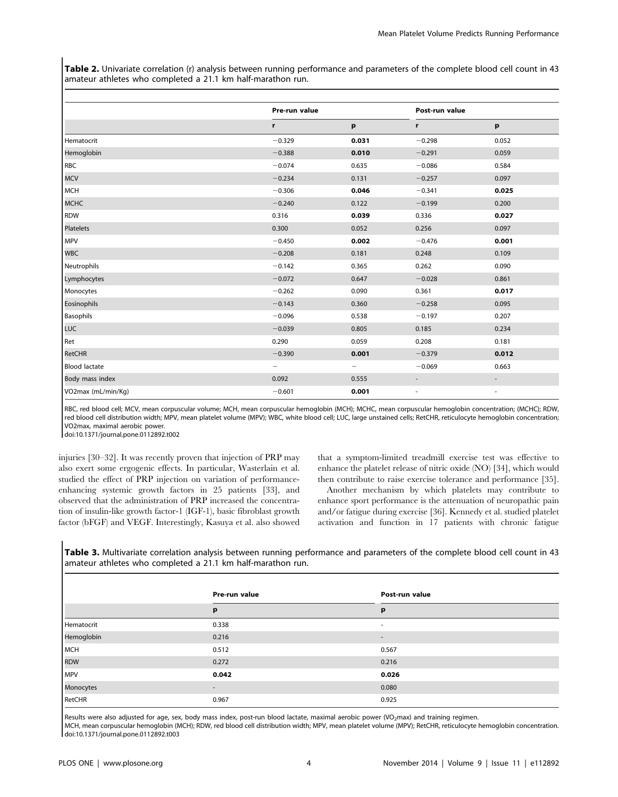Table 2. Univariate correlation (r) analysis between running performance and parameters of the complete blood cell count in 43 amateur athletes who completed a 21.1 km half-marathon run.

|                      | Pre-run value |              | Post-run value           |                          |
|----------------------|---------------|--------------|--------------------------|--------------------------|
|                      | r             | $\mathbf{p}$ | r                        | p                        |
| Hematocrit           | $-0.329$      | 0.031        | $-0.298$                 | 0.052                    |
| Hemoglobin           | $-0.388$      | 0.010        | $-0.291$                 | 0.059                    |
| RBC                  | $-0.074$      | 0.635        | $-0.086$                 | 0.584                    |
| <b>MCV</b>           | $-0.234$      | 0.131        | $-0.257$                 | 0.097                    |
| MCH                  | $-0.306$      | 0.046        | $-0.341$                 | 0.025                    |
| <b>MCHC</b>          | $-0.240$      | 0.122        | $-0.199$                 | 0.200                    |
| <b>RDW</b>           | 0.316         | 0.039        | 0.336                    | 0.027                    |
| Platelets            | 0.300         | 0.052        | 0.256                    | 0.097                    |
| MPV                  | $-0.450$      | 0.002        | $-0.476$                 | 0.001                    |
| <b>WBC</b>           | $-0.208$      | 0.181        | 0.248                    | 0.109                    |
| Neutrophils          | $-0.142$      | 0.365        | 0.262                    | 0.090                    |
| Lymphocytes          | $-0.072$      | 0.647        | $-0.028$                 | 0.861                    |
| Monocytes            | $-0.262$      | 0.090        | 0.361                    | 0.017                    |
| Eosinophils          | $-0.143$      | 0.360        | $-0.258$                 | 0.095                    |
| Basophils            | $-0.096$      | 0.538        | $-0.197$                 | 0.207                    |
| LUC                  | $-0.039$      | 0.805        | 0.185                    | 0.234                    |
| Ret                  | 0.290         | 0.059        | 0.208                    | 0.181                    |
| RetCHR               | $-0.390$      | 0.001        | $-0.379$                 | 0.012                    |
| <b>Blood lactate</b> | -             | -            | $-0.069$                 | 0.663                    |
| Body mass index      | 0.092         | 0.555        | $\overline{\phantom{a}}$ | $\overline{\phantom{a}}$ |
| VO2max (mL/min/Kg)   | $-0.601$      | 0.001        | $\overline{\phantom{a}}$ | $\overline{\phantom{a}}$ |

RBC, red blood cell; MCV, mean corpuscular volume; MCH, mean corpuscular hemoglobin (MCH); MCHC, mean corpuscular hemoglobin concentration; (MCHC); RDW, red blood cell distribution width; MPV, mean platelet volume (MPV); WBC, white blood cell; LUC, large unstained cells; RetCHR, reticulocyte hemoglobin concentration; VO2max, maximal aerobic power.

doi:10.1371/journal.pone.0112892.t002

injuries [30–32]. It was recently proven that injection of PRP may also exert some ergogenic effects. In particular, Wasterlain et al. studied the effect of PRP injection on variation of performanceenhancing systemic growth factors in 25 patients [33], and observed that the administration of PRP increased the concentration of insulin-like growth factor-1 (IGF-1), basic fibroblast growth factor (bFGF) and VEGF. Interestingly, Kasuya et al. also showed that a symptom-limited treadmill exercise test was effective to enhance the platelet release of nitric oxide (NO) [34], which would then contribute to raise exercise tolerance and performance [35].

Another mechanism by which platelets may contribute to enhance sport performance is the attenuation of neuropathic pain and/or fatigue during exercise [36]. Kennedy et al. studied platelet activation and function in 17 patients with chronic fatigue

Table 3. Multivariate correlation analysis between running performance and parameters of the complete blood cell count in 43 amateur athletes who completed a 21.1 km half-marathon run.

|            | Pre-run value            | Post-run value           |  |
|------------|--------------------------|--------------------------|--|
|            | p                        | p                        |  |
| Hematocrit | 0.338                    | ٠                        |  |
| Hemoglobin | 0.216                    | $\overline{\phantom{a}}$ |  |
| MCH        | 0.512                    | 0.567                    |  |
| <b>RDW</b> | 0.272                    | 0.216                    |  |
| <b>MPV</b> | 0.042                    | 0.026                    |  |
| Monocytes  | $\overline{\phantom{a}}$ | 0.080                    |  |
| RetCHR     | 0.967                    | 0.925                    |  |

Results were also adjusted for age, sex, body mass index, post-run blood lactate, maximal aerobic power (VO<sub>2</sub>max) and training regimen.

MCH, mean corpuscular hemoglobin (MCH); RDW, red blood cell distribution width; MPV, mean platelet volume (MPV); RetCHR, reticulocyte hemoglobin concentration. doi:10.1371/journal.pone.0112892.t003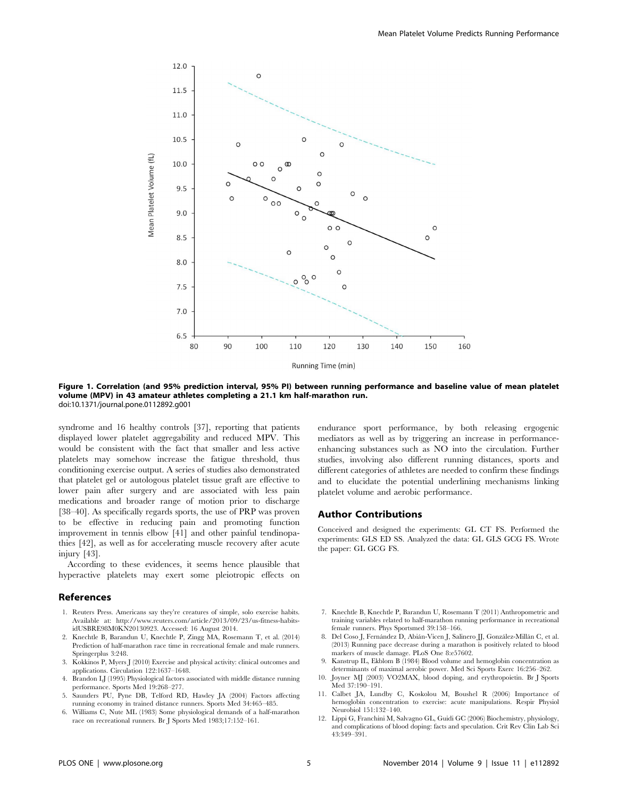

Figure 1. Correlation (and 95% prediction interval, 95% PI) between running performance and baseline value of mean platelet volume (MPV) in 43 amateur athletes completing a 21.1 km half-marathon run. doi:10.1371/journal.pone.0112892.g001

syndrome and 16 healthy controls [37], reporting that patients displayed lower platelet aggregability and reduced MPV. This would be consistent with the fact that smaller and less active platelets may somehow increase the fatigue threshold, thus conditioning exercise output. A series of studies also demonstrated that platelet gel or autologous platelet tissue graft are effective to lower pain after surgery and are associated with less pain medications and broader range of motion prior to discharge [38–40]. As specifically regards sports, the use of PRP was proven to be effective in reducing pain and promoting function improvement in tennis elbow [41] and other painful tendinopathies [42], as well as for accelerating muscle recovery after acute injury [43].

According to these evidences, it seems hence plausible that hyperactive platelets may exert some pleiotropic effects on

#### References

- 1. Reuters Press. Americans say they're creatures of simple, solo exercise habits. Available at: [http://www.reuters.com/article/2013/09/23/us-fitness-habits](http://www.reuters.com/article/2013/09/23/us-fitness-habits-idUSBRE98M0KN20130923)[idUSBRE98M0KN20130923.](http://www.reuters.com/article/2013/09/23/us-fitness-habits-idUSBRE98M0KN20130923) Accessed: 16 August 2014.
- 2. Knechtle B, Barandun U, Knechtle P, Zingg MA, Rosemann T, et al. (2014) Prediction of half-marathon race time in recreational female and male runners. Springerplus 3:248.
- 3. Kokkinos P, Myers J (2010) Exercise and physical activity: clinical outcomes and applications. Circulation 122:1637–1648.
- 4. Brandon LJ (1995) Physiological factors associated with middle distance running performance. Sports Med 19:268–277.
- 5. Saunders PU, Pyne DB, Telford RD, Hawley JA (2004) Factors affecting running economy in trained distance runners. Sports Med 34:465–485.
- 6. Williams C, Nute ML (1983) Some physiological demands of a half-marathon race on recreational runners. Br J Sports Med 1983;17:152–161.

endurance sport performance, by both releasing ergogenic mediators as well as by triggering an increase in performanceenhancing substances such as NO into the circulation. Further studies, involving also different running distances, sports and different categories of athletes are needed to confirm these findings and to elucidate the potential underlining mechanisms linking platelet volume and aerobic performance.

#### Author Contributions

Conceived and designed the experiments: GL CT FS. Performed the experiments: GLS ED SS. Analyzed the data: GL GLS GCG FS. Wrote the paper: GL GCG FS.

- 7. Knechtle B, Knechtle P, Barandun U, Rosemann T (2011) Anthropometric and training variables related to half-marathon running performance in recreational female runners. Phys Sportsmed 39:158–166.
- 8. Del Coso J, Fernández D, Abián-Vicen J, Salinero JJ, González-Millán C, et al. (2013) Running pace decrease during a marathon is positively related to blood markers of muscle damage. PLoS One 8:e57602.
- 9. Kanstrup IL, Ekblom B (1984) Blood volume and hemoglobin concentration as determinants of maximal aerobic power. Med Sci Sports Exerc 16:256–262.
- 10. Joyner MJ (2003) VO2MAX, blood doping, and erythropoietin. Br J Sports Med 37:190–191.
- 11. Calbet JA, Lundby C, Koskolou M, Boushel R (2006) Importance of hemoglobin concentration to exercise: acute manipulations. Respir Physiol Neurobiol 151:132–140.
- 12. Lippi G, Franchini M, Salvagno GL, Guidi GC (2006) Biochemistry, physiology, and complications of blood doping: facts and speculation. Crit Rev Clin Lab Sci 43:349–391.